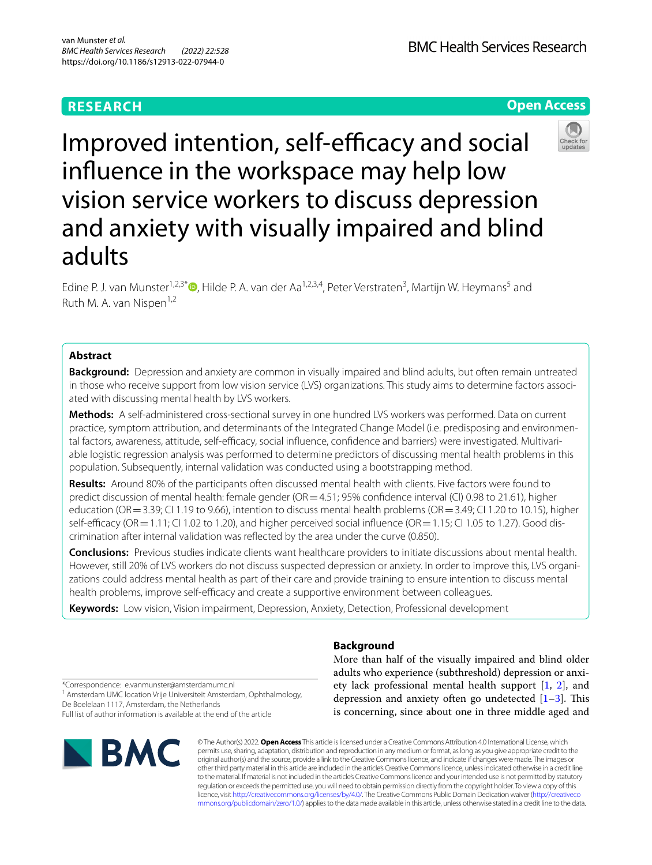# **RESEARCH**

**BMC Health Services Research** 

**Open Access**

# Improved intention, self-efficacy and social infuence in the workspace may help low vision service workers to discuss depression and anxiety with visually impaired and blind adults

Edine P. J. van Munster<sup>1[,](http://orcid.org/0000-0002-9250-055X)2,3\*</sup><sup>®</sup>, Hilde P. A. van der Aa<sup>1,2,3,4</sup>, Peter Verstraten<sup>3</sup>, Martijn W. Heymans<sup>5</sup> and Ruth M. A. van Nispen<sup>1,2</sup>

# **Abstract**

**Background:** Depression and anxiety are common in visually impaired and blind adults, but often remain untreated in those who receive support from low vision service (LVS) organizations. This study aims to determine factors associated with discussing mental health by LVS workers.

**Methods:** A self-administered cross-sectional survey in one hundred LVS workers was performed. Data on current practice, symptom attribution, and determinants of the Integrated Change Model (i.e. predisposing and environmental factors, awareness, attitude, self-efficacy, social influence, confidence and barriers) were investigated. Multivariable logistic regression analysis was performed to determine predictors of discussing mental health problems in this population. Subsequently, internal validation was conducted using a bootstrapping method.

**Results:** Around 80% of the participants often discussed mental health with clients. Five factors were found to predict discussion of mental health: female gender (OR = 4.51; 95% confidence interval (CI) 0.98 to 21.61), higher education (OR = 3.39; CI 1.19 to 9.66), intention to discuss mental health problems (OR = 3.49; CI 1.20 to 10.15), higher self-efficacy (OR = 1.11; CI 1.02 to 1.20), and higher perceived social influence (OR = 1.15; CI 1.05 to 1.27). Good discrimination after internal validation was refected by the area under the curve (0.850).

**Conclusions:** Previous studies indicate clients want healthcare providers to initiate discussions about mental health. However, still 20% of LVS workers do not discuss suspected depression or anxiety. In order to improve this, LVS organizations could address mental health as part of their care and provide training to ensure intention to discuss mental health problems, improve self-efficacy and create a supportive environment between colleagues.

**Keywords:** Low vision, Vision impairment, Depression, Anxiety, Detection, Professional development

**Background**

More than half of the visually impaired and blind older adults who experience (subthreshold) depression or anxiety lack professional mental health support [\[1](#page-9-0), [2\]](#page-9-1), and depression and anxiety often go undetected  $[1-3]$  $[1-3]$ . This is concerning, since about one in three middle aged and

\*Correspondence: e.vanmunster@amsterdamumc.nl

<sup>1</sup> Amsterdam UMC location Vrije Universiteit Amsterdam, Ophthalmology, De Boelelaan 1117, Amsterdam, the Netherlands Full list of author information is available at the end of the article



© The Author(s) 2022. **Open Access** This article is licensed under a Creative Commons Attribution 4.0 International License, which permits use, sharing, adaptation, distribution and reproduction in any medium or format, as long as you give appropriate credit to the original author(s) and the source, provide a link to the Creative Commons licence, and indicate if changes were made. The images or other third party material in this article are included in the article's Creative Commons licence, unless indicated otherwise in a credit line to the material. If material is not included in the article's Creative Commons licence and your intended use is not permitted by statutory regulation or exceeds the permitted use, you will need to obtain permission directly from the copyright holder. To view a copy of this licence, visit [http://creativecommons.org/licenses/by/4.0/.](http://creativecommons.org/licenses/by/4.0/) The Creative Commons Public Domain Dedication waiver ([http://creativeco](http://creativecommons.org/publicdomain/zero/1.0/) [mmons.org/publicdomain/zero/1.0/](http://creativecommons.org/publicdomain/zero/1.0/)) applies to the data made available in this article, unless otherwise stated in a credit line to the data.

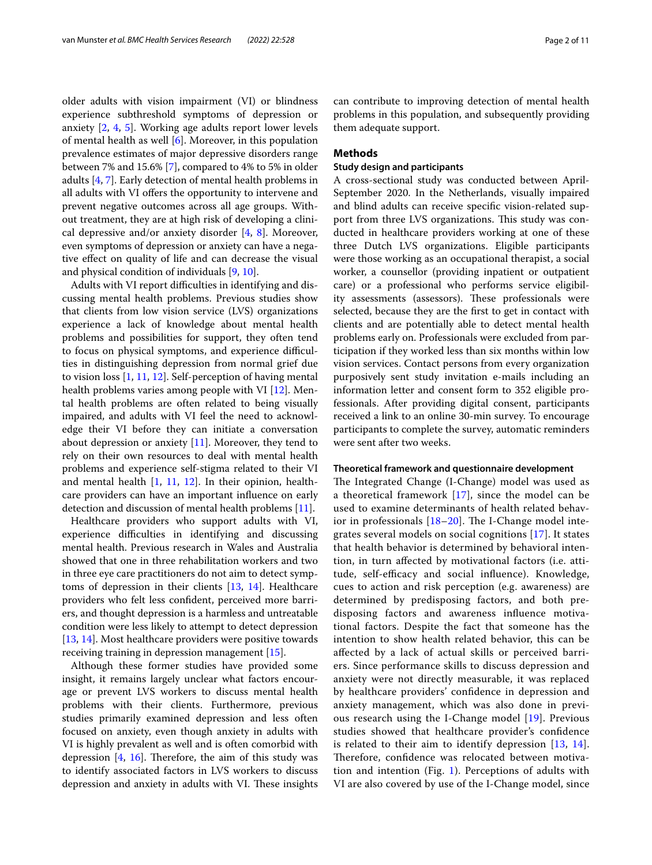older adults with vision impairment (VI) or blindness experience subthreshold symptoms of depression or anxiety [[2,](#page-9-1) [4](#page-9-3), [5](#page-9-4)]. Working age adults report lower levels of mental health as well [[6\]](#page-9-5). Moreover, in this population prevalence estimates of major depressive disorders range between 7% and 15.6% [\[7](#page-9-6)], compared to 4% to 5% in older adults [[4,](#page-9-3) [7](#page-9-6)]. Early detection of mental health problems in all adults with VI offers the opportunity to intervene and prevent negative outcomes across all age groups. Without treatment, they are at high risk of developing a clinical depressive and/or anxiety disorder  $[4, 8]$  $[4, 8]$  $[4, 8]$  $[4, 8]$  $[4, 8]$ . Moreover, even symptoms of depression or anxiety can have a negative efect on quality of life and can decrease the visual and physical condition of individuals [[9,](#page-9-8) [10](#page-9-9)].

Adults with VI report difficulties in identifying and discussing mental health problems. Previous studies show that clients from low vision service (LVS) organizations experience a lack of knowledge about mental health problems and possibilities for support, they often tend to focus on physical symptoms, and experience difficulties in distinguishing depression from normal grief due to vision loss [\[1](#page-9-0), [11](#page-9-10), [12\]](#page-9-11). Self-perception of having mental health problems varies among people with VI [\[12\]](#page-9-11). Mental health problems are often related to being visually impaired, and adults with VI feel the need to acknowledge their VI before they can initiate a conversation about depression or anxiety [\[11](#page-9-10)]. Moreover, they tend to rely on their own resources to deal with mental health problems and experience self-stigma related to their VI and mental health [[1,](#page-9-0) [11,](#page-9-10) [12\]](#page-9-11). In their opinion, healthcare providers can have an important infuence on early detection and discussion of mental health problems [[11](#page-9-10)].

Healthcare providers who support adults with VI, experience difficulties in identifying and discussing mental health. Previous research in Wales and Australia showed that one in three rehabilitation workers and two in three eye care practitioners do not aim to detect symptoms of depression in their clients [\[13](#page-9-12), [14](#page-9-13)]. Healthcare providers who felt less confdent, perceived more barriers, and thought depression is a harmless and untreatable condition were less likely to attempt to detect depression [[13,](#page-9-12) [14](#page-9-13)]. Most healthcare providers were positive towards receiving training in depression management [\[15](#page-9-14)].

Although these former studies have provided some insight, it remains largely unclear what factors encourage or prevent LVS workers to discuss mental health problems with their clients. Furthermore, previous studies primarily examined depression and less often focused on anxiety, even though anxiety in adults with VI is highly prevalent as well and is often comorbid with depression  $[4, 16]$  $[4, 16]$  $[4, 16]$  $[4, 16]$  $[4, 16]$ . Therefore, the aim of this study was to identify associated factors in LVS workers to discuss depression and anxiety in adults with VI. These insights can contribute to improving detection of mental health problems in this population, and subsequently providing them adequate support.

# **Methods**

# **Study design and participants**

A cross-sectional study was conducted between April-September 2020. In the Netherlands, visually impaired and blind adults can receive specifc vision-related support from three LVS organizations. This study was conducted in healthcare providers working at one of these three Dutch LVS organizations. Eligible participants were those working as an occupational therapist, a social worker, a counsellor (providing inpatient or outpatient care) or a professional who performs service eligibility assessments (assessors). These professionals were selected, because they are the frst to get in contact with clients and are potentially able to detect mental health problems early on. Professionals were excluded from participation if they worked less than six months within low vision services. Contact persons from every organization purposively sent study invitation e-mails including an information letter and consent form to 352 eligible professionals. After providing digital consent, participants received a link to an online 30-min survey. To encourage participants to complete the survey, automatic reminders were sent after two weeks.

#### **Theoretical framework and questionnaire development**

The Integrated Change (I-Change) model was used as a theoretical framework [\[17](#page-9-16)], since the model can be used to examine determinants of health related behavior in professionals  $[18–20]$  $[18–20]$  $[18–20]$  $[18–20]$ . The I-Change model integrates several models on social cognitions [\[17](#page-9-16)]. It states that health behavior is determined by behavioral intention, in turn afected by motivational factors (i.e. attitude, self-efficacy and social influence). Knowledge, cues to action and risk perception (e.g. awareness) are determined by predisposing factors, and both predisposing factors and awareness infuence motivational factors. Despite the fact that someone has the intention to show health related behavior, this can be afected by a lack of actual skills or perceived barriers. Since performance skills to discuss depression and anxiety were not directly measurable, it was replaced by healthcare providers' confdence in depression and anxiety management, which was also done in previous research using the I-Change model [[19\]](#page-9-19). Previous studies showed that healthcare provider's confdence is related to their aim to identify depression [\[13,](#page-9-12) [14](#page-9-13)]. Therefore, confidence was relocated between motivation and intention (Fig. [1](#page-2-0)). Perceptions of adults with VI are also covered by use of the I-Change model, since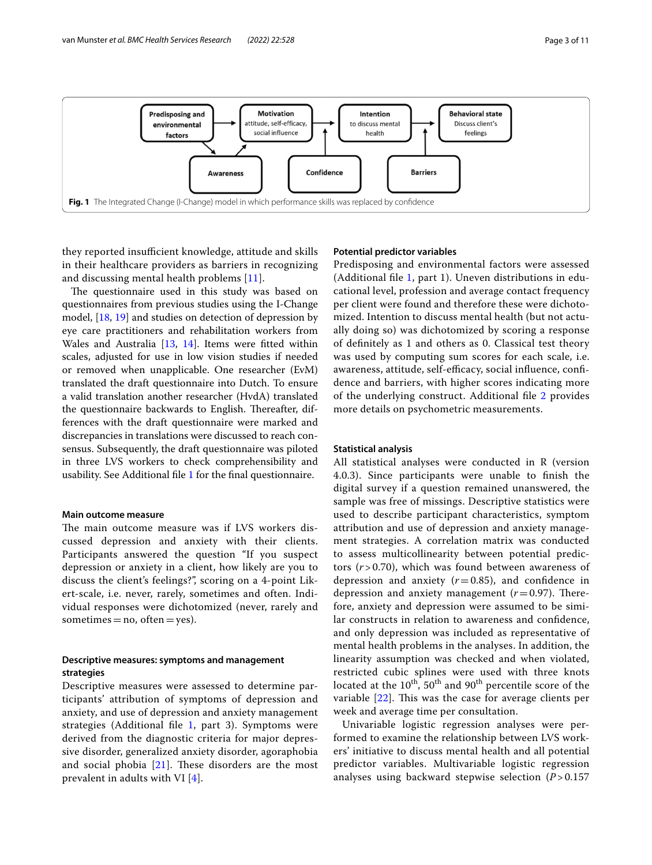

<span id="page-2-0"></span>they reported insufficient knowledge, attitude and skills in their healthcare providers as barriers in recognizing and discussing mental health problems [\[11](#page-9-10)].

The questionnaire used in this study was based on questionnaires from previous studies using the I-Change model, [\[18](#page-9-17), [19\]](#page-9-19) and studies on detection of depression by eye care practitioners and rehabilitation workers from Wales and Australia [\[13](#page-9-12), [14\]](#page-9-13). Items were ftted within scales, adjusted for use in low vision studies if needed or removed when unapplicable. One researcher (EvM) translated the draft questionnaire into Dutch. To ensure a valid translation another researcher (HvdA) translated the questionnaire backwards to English. Thereafter, differences with the draft questionnaire were marked and discrepancies in translations were discussed to reach consensus. Subsequently, the draft questionnaire was piloted in three LVS workers to check comprehensibility and usability. See Additional fle [1](#page-9-20) for the fnal questionnaire.

#### **Main outcome measure**

The main outcome measure was if LVS workers discussed depression and anxiety with their clients. Participants answered the question "If you suspect depression or anxiety in a client, how likely are you to discuss the client's feelings?", scoring on a 4-point Likert-scale, i.e. never, rarely, sometimes and often. Individual responses were dichotomized (never, rarely and sometimes  $=$  no, often  $=$  yes).

# **Descriptive measures: symptoms and management strategies**

Descriptive measures were assessed to determine participants' attribution of symptoms of depression and anxiety, and use of depression and anxiety management strategies (Additional fle [1,](#page-9-20) part 3). Symptoms were derived from the diagnostic criteria for major depressive disorder, generalized anxiety disorder, agoraphobia and social phobia  $[21]$  $[21]$ . These disorders are the most prevalent in adults with VI [[4](#page-9-3)].

#### **Potential predictor variables**

Predisposing and environmental factors were assessed (Additional fle [1,](#page-9-20) part 1). Uneven distributions in educational level, profession and average contact frequency per client were found and therefore these were dichotomized. Intention to discuss mental health (but not actually doing so) was dichotomized by scoring a response of defnitely as 1 and others as 0. Classical test theory was used by computing sum scores for each scale, i.e. awareness, attitude, self-efficacy, social influence, confidence and barriers, with higher scores indicating more of the underlying construct. Additional fle [2](#page-9-22) provides more details on psychometric measurements.

### **Statistical analysis**

All statistical analyses were conducted in R (version 4.0.3). Since participants were unable to fnish the digital survey if a question remained unanswered, the sample was free of missings. Descriptive statistics were used to describe participant characteristics, symptom attribution and use of depression and anxiety management strategies. A correlation matrix was conducted to assess multicollinearity between potential predictors (*r* > 0.70), which was found between awareness of depression and anxiety  $(r=0.85)$ , and confidence in depression and anxiety management  $(r=0.97)$ . Therefore, anxiety and depression were assumed to be similar constructs in relation to awareness and confdence, and only depression was included as representative of mental health problems in the analyses. In addition, the linearity assumption was checked and when violated, restricted cubic splines were used with three knots located at the  $10^{th}$ ,  $50^{th}$  and  $90^{th}$  percentile score of the variable  $[22]$  $[22]$ . This was the case for average clients per week and average time per consultation.

Univariable logistic regression analyses were performed to examine the relationship between LVS workers' initiative to discuss mental health and all potential predictor variables. Multivariable logistic regression analyses using backward stepwise selection (*P* > 0.157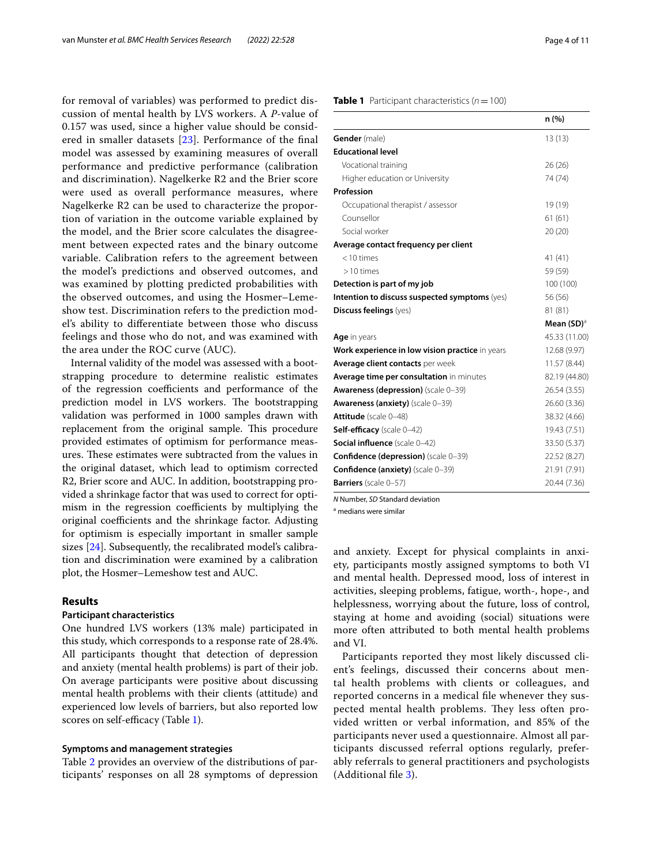for removal of variables) was performed to predict discussion of mental health by LVS workers. A *P*-value of 0.157 was used, since a higher value should be considered in smaller datasets [\[23](#page-9-24)]. Performance of the fnal model was assessed by examining measures of overall performance and predictive performance (calibration and discrimination). Nagelkerke R2 and the Brier score were used as overall performance measures, where Nagelkerke R2 can be used to characterize the proportion of variation in the outcome variable explained by the model, and the Brier score calculates the disagreement between expected rates and the binary outcome variable. Calibration refers to the agreement between the model's predictions and observed outcomes, and was examined by plotting predicted probabilities with the observed outcomes, and using the Hosmer–Lemeshow test. Discrimination refers to the prediction model's ability to diferentiate between those who discuss feelings and those who do not, and was examined with the area under the ROC curve (AUC).

Internal validity of the model was assessed with a bootstrapping procedure to determine realistic estimates of the regression coefficients and performance of the prediction model in LVS workers. The bootstrapping validation was performed in 1000 samples drawn with replacement from the original sample. This procedure provided estimates of optimism for performance measures. These estimates were subtracted from the values in the original dataset, which lead to optimism corrected R2, Brier score and AUC. In addition, bootstrapping provided a shrinkage factor that was used to correct for optimism in the regression coefficients by multiplying the original coefficients and the shrinkage factor. Adjusting for optimism is especially important in smaller sample sizes [[24\]](#page-10-0). Subsequently, the recalibrated model's calibration and discrimination were examined by a calibration plot, the Hosmer–Lemeshow test and AUC.

# **Results**

# **Participant characteristics**

One hundred LVS workers (13% male) participated in this study, which corresponds to a response rate of 28.4%. All participants thought that detection of depression and anxiety (mental health problems) is part of their job. On average participants were positive about discussing mental health problems with their clients (attitude) and experienced low levels of barriers, but also reported low scores on self-efficacy (Table [1\)](#page-3-0).

# **Symptoms and management strategies**

Table [2](#page-4-0) provides an overview of the distributions of participants' responses on all 28 symptoms of depression

#### <span id="page-3-0"></span>**Table 1** Participant characteristics  $(n = 100)$

|                                                 | n (%)         |
|-------------------------------------------------|---------------|
| Gender (male)                                   | 13(13)        |
| <b>Educational level</b>                        |               |
| Vocational training                             | 26(26)        |
| Higher education or University                  | 74 (74)       |
| Profession                                      |               |
| Occupational therapist / assessor               | 19 (19)       |
| Counsellor                                      | 61(61)        |
| Social worker                                   | 20(20)        |
| Average contact frequency per client            |               |
| $<$ 10 times                                    | 41(41)        |
| $>10$ times                                     | 59 (59)       |
| Detection is part of my job                     | 100 (100)     |
| Intention to discuss suspected symptoms (yes)   | 56 (56)       |
| <b>Discuss feelings</b> (yes)                   | 81 (81)       |
|                                                 | Mean $(SD)^a$ |
| Age in years                                    | 45.33 (11.00) |
| Work experience in low vision practice in years | 12.68 (9.97)  |
| <b>Average client contacts</b> per week         | 11.57(8.44)   |
| Average time per consultation in minutes        | 82.19 (44.80) |
| <b>Awareness (depression)</b> (scale 0-39)      | 26.54 (3.55)  |
| <b>Awareness (anxiety)</b> (scale 0-39)         | 26.60 (3.36)  |
| Attitude (scale 0-48)                           | 38.32 (4.66)  |
| Self-efficacy (scale 0-42)                      | 19.43 (7.51)  |
| <b>Social influence</b> (scale 0-42)            | 33.50 (5.37)  |
| Confidence (depression) (scale 0-39)            | 22.52 (8.27)  |
| Confidence (anxiety) (scale 0-39)               | 21.91 (7.91)  |
| <b>Barriers</b> (scale 0-57)                    | 20.44 (7.36)  |
|                                                 |               |

*N* Number, *SD* Standard deviation

<sup>a</sup> medians were similar

and anxiety. Except for physical complaints in anxiety, participants mostly assigned symptoms to both VI and mental health. Depressed mood, loss of interest in activities, sleeping problems, fatigue, worth-, hope-, and helplessness, worrying about the future, loss of control, staying at home and avoiding (social) situations were more often attributed to both mental health problems and VI.

Participants reported they most likely discussed client's feelings, discussed their concerns about mental health problems with clients or colleagues, and reported concerns in a medical fle whenever they suspected mental health problems. They less often provided written or verbal information, and 85% of the participants never used a questionnaire. Almost all participants discussed referral options regularly, preferably referrals to general practitioners and psychologists (Additional fle [3\)](#page-9-25).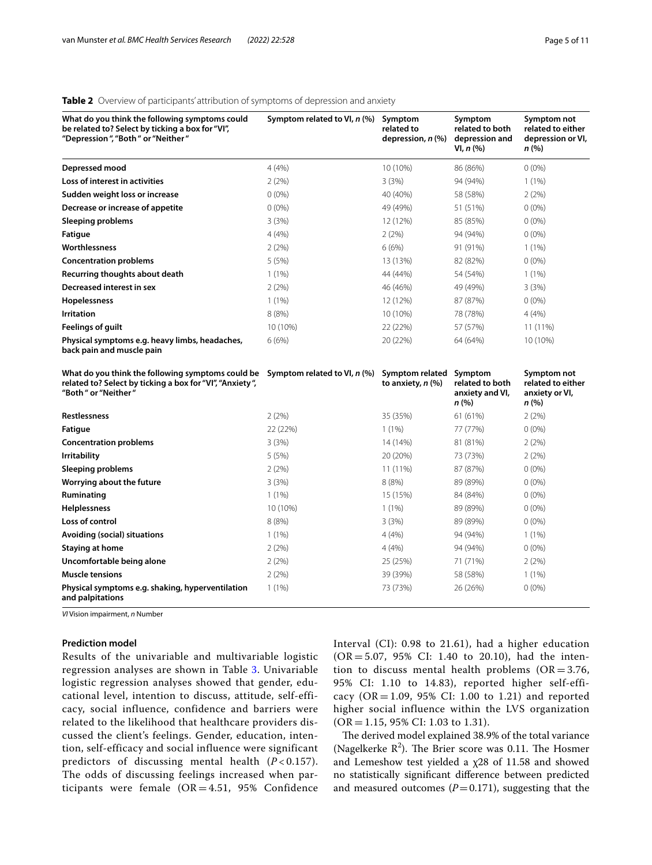# <span id="page-4-0"></span>**Table 2** Overview of participants' attribution of symptoms of depression and anxiety

| What do you think the following symptoms could<br>be related to? Select by ticking a box for "VI",<br>"Depression", "Both" or "Neither" | Symptom related to VI, n (%) | Symptom<br>related to<br>depression, $n$ (%) | Symptom<br>related to both<br>depression and<br>VI, n (%) | Symptom not<br>related to either<br>depression or VI,<br>n (%) |
|-----------------------------------------------------------------------------------------------------------------------------------------|------------------------------|----------------------------------------------|-----------------------------------------------------------|----------------------------------------------------------------|
| Depressed mood                                                                                                                          | 4(4%)                        | 10 (10%)                                     | 86 (86%)                                                  | $0(0\%)$                                                       |
| Loss of interest in activities                                                                                                          | 2(2%)                        | 3(3%)                                        | 94 (94%)                                                  | 1(1%)                                                          |
| Sudden weight loss or increase                                                                                                          | $0(0\%)$                     | 40 (40%)                                     | 58 (58%)                                                  | 2(2%)                                                          |
| Decrease or increase of appetite                                                                                                        | $0(0\%)$                     | 49 (49%)                                     | 51 (51%)                                                  | $0(0\%)$                                                       |
| <b>Sleeping problems</b>                                                                                                                | 3(3%)                        | 12 (12%)                                     | 85 (85%)                                                  | $0(0\%)$                                                       |
| <b>Fatigue</b>                                                                                                                          | 4(4%)                        | 2(2%)                                        | 94 (94%)                                                  | $0(0\%)$                                                       |
| Worthlessness                                                                                                                           | 2(2%)                        | 6(6%)                                        | 91 (91%)                                                  | $1(1\%)$                                                       |
| <b>Concentration problems</b>                                                                                                           | 5(5%)                        | 13 (13%)                                     | 82 (82%)                                                  | $0(0\%)$                                                       |
| Recurring thoughts about death                                                                                                          | $1(1\%)$                     | 44 (44%)                                     | 54 (54%)                                                  | $1(1\%)$                                                       |
| Decreased interest in sex                                                                                                               | 2(2%)                        | 46 (46%)                                     | 49 (49%)                                                  | 3(3%)                                                          |
| Hopelessness                                                                                                                            | $1(1\%)$                     | 12 (12%)                                     | 87 (87%)                                                  | $0(0\%)$                                                       |
| Irritation                                                                                                                              | 8(8%)                        | 10 (10%)                                     | 78 (78%)                                                  | 4(4%)                                                          |
| <b>Feelings of guilt</b>                                                                                                                | 10 (10%)                     | 22 (22%)                                     | 57 (57%)                                                  | 11 (11%)                                                       |
| Physical symptoms e.g. heavy limbs, headaches,<br>back pain and muscle pain                                                             | 6(6%)                        | 20 (22%)                                     | 64 (64%)                                                  | 10 (10%)                                                       |
| What do you think the following symptoms could be<br>related to? Select by ticking a box for "VI", "Anxiety",<br>"Both" or "Neither"    | Symptom related to VI, n (%) | Symptom related<br>to anxiety, $n$ $%$       | Symptom<br>related to both<br>anxiety and VI,<br>n (%)    | Symptom not<br>related to either<br>anxiety or VI,<br>n (%)    |
| <b>Restlessness</b>                                                                                                                     | 2(2%)                        | 35 (35%)                                     | 61 (61%)                                                  | 2(2%)                                                          |
| Fatigue                                                                                                                                 | 22 (22%)                     | 1(1%)                                        | 77 (77%)                                                  | $0(0\%)$                                                       |
| <b>Concentration problems</b>                                                                                                           | 3(3%)                        | 14 (14%)                                     | 81 (81%)                                                  | 2(2%)                                                          |
| <b>Irritability</b>                                                                                                                     | 5(5%)                        | 20 (20%)                                     | 73 (73%)                                                  | 2(2%)                                                          |
| Sleeping problems                                                                                                                       | 2(2%)                        | 11 (11%)                                     | 87 (87%)                                                  | $0(0\%)$                                                       |
| Worrying about the future                                                                                                               | 3(3%)                        | 8(8%)                                        | 89 (89%)                                                  | $0(0\%)$                                                       |
| Ruminating                                                                                                                              | $1(1\%)$                     | 15 (15%)                                     | 84 (84%)                                                  | $0(0\%)$                                                       |
| <b>Helplessness</b>                                                                                                                     | 10 (10%)                     | $1(1\%)$                                     | 89 (89%)                                                  | $0(0\%)$                                                       |
| Loss of control                                                                                                                         | 8(8%)                        | 3(3%)                                        | 89 (89%)                                                  | $0(0\%)$                                                       |
| Avoiding (social) situations                                                                                                            | $1(1\%)$                     | 4(4%)                                        | 94 (94%)                                                  | $1(1\%)$                                                       |
| <b>Staying at home</b>                                                                                                                  | 2(2%)                        | 4(4%)                                        | 94 (94%)                                                  | $0(0\%)$                                                       |
| Uncomfortable being alone                                                                                                               | 2(2%)                        | 25 (25%)                                     | 71 (71%)                                                  | 2(2%)                                                          |
| <b>Muscle tensions</b>                                                                                                                  | 2(2%)                        | 39 (39%)                                     | 58 (58%)                                                  | 1(1%)                                                          |
| Physical symptoms e.g. shaking, hyperventilation<br>and palpitations                                                                    | $1(1\%)$                     | 73 (73%)                                     | 26 (26%)                                                  | $0(0\%)$                                                       |

*VI* Vision impairment, *n* Number

# **Prediction model**

Results of the univariable and multivariable logistic regression analyses are shown in Table [3](#page-5-0). Univariable logistic regression analyses showed that gender, educational level, intention to discuss, attitude, self-efficacy, social influence, confidence and barriers were related to the likelihood that healthcare providers discussed the client's feelings. Gender, education, intention, self-efficacy and social influence were significant predictors of discussing mental health (*P* < 0.157). The odds of discussing feelings increased when participants were female  $(OR = 4.51, 95\%$  Confidence

Interval (CI): 0.98 to 21.61), had a higher education  $(OR = 5.07, 95\% \text{ CI: } 1.40 \text{ to } 20.10)$ , had the intention to discuss mental health problems  $(OR = 3.76,$ 95% CI: 1.10 to 14.83), reported higher self-efficacy (OR = 1.09, 95% CI: 1.00 to 1.21) and reported higher social influence within the LVS organization  $(OR = 1.15, 95\% \text{ CI: } 1.03 \text{ to } 1.31).$ 

The derived model explained 38.9% of the total variance (Nagelkerke  $R^2$ ). The Brier score was 0.11. The Hosmer and Lemeshow test yielded a χ28 of 11.58 and showed no statistically signifcant diference between predicted and measured outcomes  $(P=0.171)$ , suggesting that the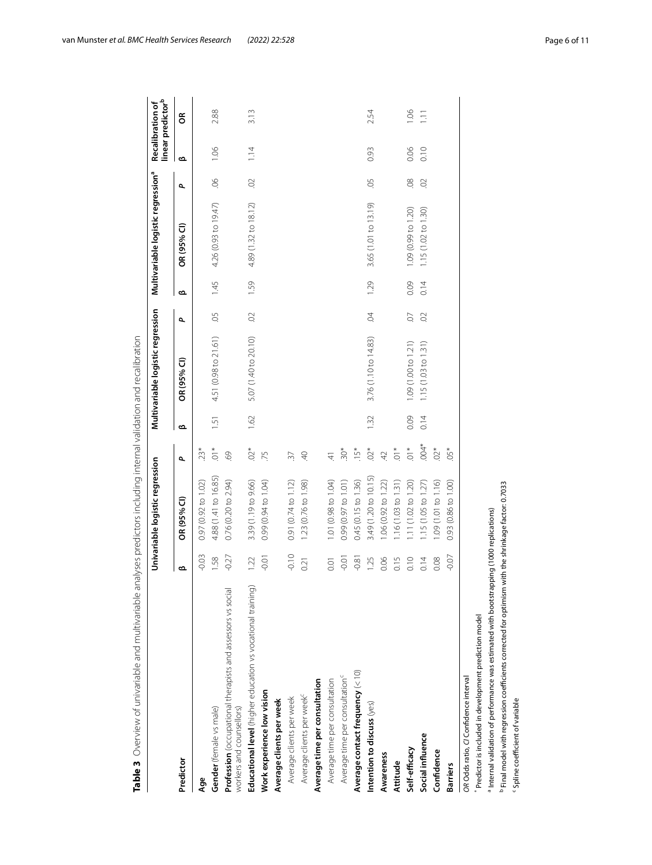|                                                                                                                                     |         | Univariable logistic regression |                  |      | Multivariable logistic regression |                          |      | Multivariable logistic regression <sup>a</sup> |                          | <b>Recalibration of</b> | linear predictor <sup>b</sup> |
|-------------------------------------------------------------------------------------------------------------------------------------|---------|---------------------------------|------------------|------|-----------------------------------|--------------------------|------|------------------------------------------------|--------------------------|-------------------------|-------------------------------|
| Predictor                                                                                                                           | ఆ       | OR (95% CI)                     | ٩                | ൶    | OR (95% CI)                       | $\overline{\phantom{a}}$ | ൶    | OR (95% CI)                                    | $\overline{\phantom{a}}$ | ఆ                       | g                             |
| Age                                                                                                                                 | $-0.03$ | 0.97 (0.92 to 1.02)             | $23*$            |      |                                   |                          |      |                                                |                          |                         |                               |
| Gender (female vs male)                                                                                                             | 1.58    | 4.88 (1.41 to 16.85)            | $\overline{0}$ . | 1.51 | 4.51 (0.98 to 21.61)              | Ğ.                       | 1.45 | 4.26 (0.93 to 19.47)                           | $\infty$                 | 1.06                    | 2.88                          |
| Profession (occupational therapists and assessors vs social<br>workers and counsellors)                                             | $-0.27$ | 0.76 (0.20 to 2.94)             | 69               |      |                                   |                          |      |                                                |                          |                         |                               |
| Educational level (higher education vs vocational training)                                                                         | 1.22    | 3.39 (1.19 to 9.66)             | $.02*$           | 1.62 | 5.07 (1.40 to 20.10)              | $\odot$                  | 1.59 | 4.89 (1.32 to 18.12)                           | $\odot$                  | 1.14                    | 3.13                          |
| Work experience low vision                                                                                                          | $-0.01$ | 0.99 (0.94 to 1.04)             | 75               |      |                                   |                          |      |                                                |                          |                         |                               |
| Average clients per week                                                                                                            |         |                                 |                  |      |                                   |                          |      |                                                |                          |                         |                               |
| Average clients per week                                                                                                            | $-0.10$ | 0.91 (0.74 to 1.12)             | 37               |      |                                   |                          |      |                                                |                          |                         |                               |
| Average clients per week <sup>c</sup>                                                                                               | 0.21    | 1.23 (0.76 to 1.98)             | $\overline{4}$   |      |                                   |                          |      |                                                |                          |                         |                               |
| Average time per consultation                                                                                                       |         |                                 |                  |      |                                   |                          |      |                                                |                          |                         |                               |
| Average time per consultation                                                                                                       | 0.01    | 1.01 (0.98 to 1.04)             | $\overline{4}$   |      |                                   |                          |      |                                                |                          |                         |                               |
| Average time per consultation <sup>c</sup>                                                                                          | $-0.01$ | 0.99 (0.97 to 1.01)             | $30*$            |      |                                   |                          |      |                                                |                          |                         |                               |
| Average contact frequency $(< 10)$                                                                                                  | $-0.81$ | 0.45 (0.15 to 1.36)             | $.15*$           |      |                                   |                          |      |                                                |                          |                         |                               |
| Intention to discuss (yes)                                                                                                          | 1.25    | 3.49 (1.20 to 10.15)            | $02*$            | 1.32 | 3.76 (1.10 to 14.83)              | $\overline{6}$           | 1.29 | 3.65 (1.01 to 13.19)                           | <b>SO</b>                | 0.93                    | 2.54                          |
| Awareness                                                                                                                           | 0.06    | 1.06 (0.92 to 1.22)             | 42               |      |                                   |                          |      |                                                |                          |                         |                               |
| Attitude                                                                                                                            | 0.15    | 1.16 (1.03 to 1.31)             | $.01*$           |      |                                   |                          |      |                                                |                          |                         |                               |
| Self-efficacy                                                                                                                       | 0.10    | 1.11 (1.02 to 1.20)             | $.01*$           | 0.09 | 1.09 (1.00 to 1.21)               | O.                       | 0.09 | 1.09 (0.99 to 1.20)                            | $\infty$                 | 0.06                    | 1.06                          |
| Social influence                                                                                                                    | 0.14    | 1.15 (1.05 to 1.27)             | $.004*$          | 0.14 | 1.15(1.03 to 1.31)                | $\odot$                  | 0.14 | $1.15(1.02 \text{ to } 1.30)$                  | $\odot$                  | 0.10                    | $\overline{1}$ .              |
| Confidence                                                                                                                          | 0.08    | 1.09 (1.01 to 1.16)             | $.02*$           |      |                                   |                          |      |                                                |                          |                         |                               |
| <b>Barriers</b>                                                                                                                     | $-0.07$ | 0.93 (0.86 to 1.00)             | $.05*$           |      |                                   |                          |      |                                                |                          |                         |                               |
| OR Odds ratio, C/ Confidence interval                                                                                               |         |                                 |                  |      |                                   |                          |      |                                                |                          |                         |                               |
| Predictor is included in development prediction model                                                                               |         |                                 |                  |      |                                   |                          |      |                                                |                          |                         |                               |
| <sup>a</sup> Internal validation of performance was estimated with bootstrapping (1000 replications)                                |         |                                 |                  |      |                                   |                          |      |                                                |                          |                         |                               |
| Final model with regression coefficients corrected for optimism with the shrinkage factor: 0.7033<br>Spline coefficient of variable |         |                                 |                  |      |                                   |                          |      |                                                |                          |                         |                               |

<span id="page-5-0"></span>

van Munster *et al. BMC Health Services Research (2022) 22:528* **Page 6 of 11 Page 6 of 11**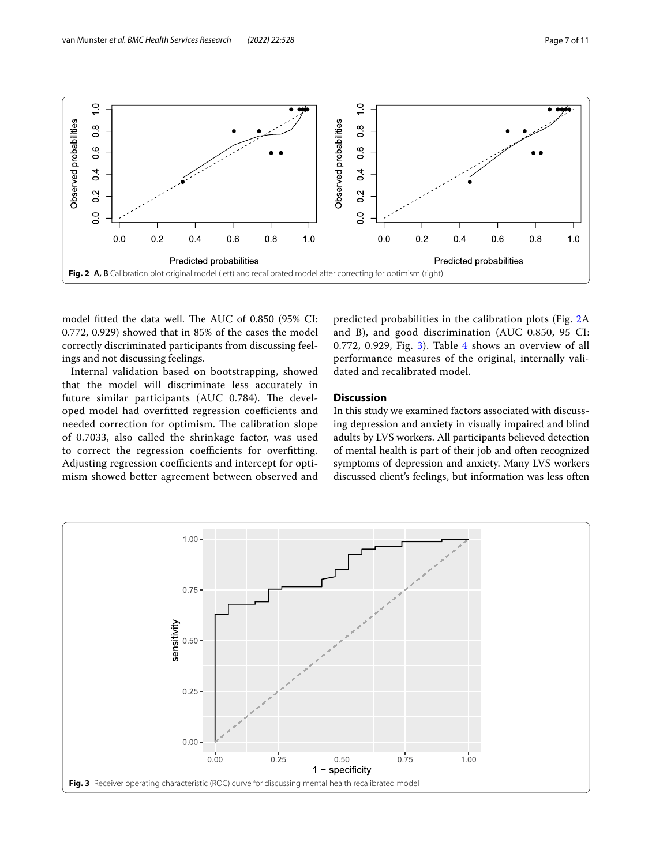

<span id="page-6-0"></span>model fitted the data well. The AUC of 0.850 (95% CI: 0.772, 0.929) showed that in 85% of the cases the model correctly discriminated participants from discussing feelings and not discussing feelings.

Internal validation based on bootstrapping, showed that the model will discriminate less accurately in future similar participants (AUC 0.784). The developed model had overfitted regression coefficients and needed correction for optimism. The calibration slope of 0.7033, also called the shrinkage factor, was used to correct the regression coefficients for overfitting. Adjusting regression coefficients and intercept for optimism showed better agreement between observed and predicted probabilities in the calibration plots (Fig. [2A](#page-6-0) and B), and good discrimination (AUC 0.850, 95 CI: 0.772, 0.929, Fig. [3](#page-6-1)). Table [4](#page-7-0) shows an overview of all performance measures of the original, internally validated and recalibrated model.

# **Discussion**

In this study we examined factors associated with discussing depression and anxiety in visually impaired and blind adults by LVS workers. All participants believed detection of mental health is part of their job and often recognized symptoms of depression and anxiety. Many LVS workers discussed client's feelings, but information was less often

<span id="page-6-1"></span>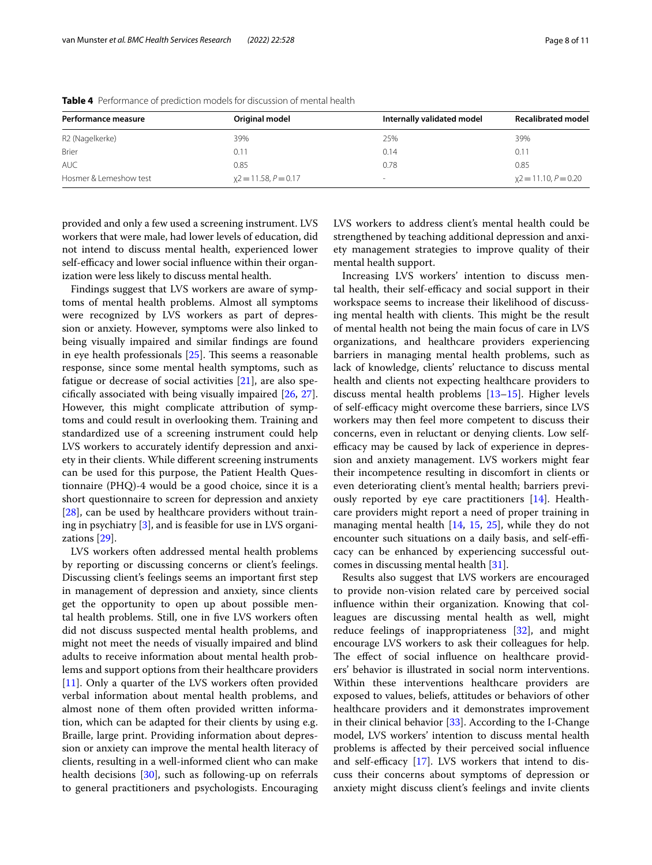| Performance measure         | Original model          | Internally validated model | <b>Recalibrated model</b> |
|-----------------------------|-------------------------|----------------------------|---------------------------|
| R <sub>2</sub> (Nagelkerke) | 39%                     | 25%                        | 39%                       |
| <b>Brier</b>                | 0.11                    | 0.14                       | 0.11                      |
| <b>AUC</b>                  | 0.85                    | 0.78                       | 0.85                      |
| Hosmer & Lemeshow test      | $x^2 = 11.58, P = 0.17$ | $\sim$                     | $x^2 = 11.10, P = 0.20$   |

<span id="page-7-0"></span>**Table 4** Performance of prediction models for discussion of mental health

provided and only a few used a screening instrument. LVS workers that were male, had lower levels of education, did not intend to discuss mental health, experienced lower self-efficacy and lower social influence within their organization were less likely to discuss mental health.

Findings suggest that LVS workers are aware of symptoms of mental health problems. Almost all symptoms were recognized by LVS workers as part of depression or anxiety. However, symptoms were also linked to being visually impaired and similar fndings are found in eye health professionals  $[25]$  $[25]$ . This seems a reasonable response, since some mental health symptoms, such as fatigue or decrease of social activities [[21](#page-9-21)], are also specifcally associated with being visually impaired [\[26,](#page-10-2) [27](#page-10-3)]. However, this might complicate attribution of symptoms and could result in overlooking them. Training and standardized use of a screening instrument could help LVS workers to accurately identify depression and anxiety in their clients. While diferent screening instruments can be used for this purpose, the Patient Health Questionnaire (PHQ)-4 would be a good choice, since it is a short questionnaire to screen for depression and anxiety [[28\]](#page-10-4), can be used by healthcare providers without training in psychiatry [[3\]](#page-9-2), and is feasible for use in LVS organizations [\[29](#page-10-5)].

LVS workers often addressed mental health problems by reporting or discussing concerns or client's feelings. Discussing client's feelings seems an important frst step in management of depression and anxiety, since clients get the opportunity to open up about possible mental health problems. Still, one in fve LVS workers often did not discuss suspected mental health problems, and might not meet the needs of visually impaired and blind adults to receive information about mental health problems and support options from their healthcare providers [[11\]](#page-9-10). Only a quarter of the LVS workers often provided verbal information about mental health problems, and almost none of them often provided written information, which can be adapted for their clients by using e.g. Braille, large print. Providing information about depression or anxiety can improve the mental health literacy of clients, resulting in a well-informed client who can make health decisions [\[30](#page-10-6)], such as following-up on referrals to general practitioners and psychologists. Encouraging LVS workers to address client's mental health could be strengthened by teaching additional depression and anxiety management strategies to improve quality of their mental health support.

Increasing LVS workers' intention to discuss mental health, their self-efficacy and social support in their workspace seems to increase their likelihood of discussing mental health with clients. This might be the result of mental health not being the main focus of care in LVS organizations, and healthcare providers experiencing barriers in managing mental health problems, such as lack of knowledge, clients' reluctance to discuss mental health and clients not expecting healthcare providers to discuss mental health problems [\[13](#page-9-12)[–15](#page-9-14)]. Higher levels of self-efficacy might overcome these barriers, since LVS workers may then feel more competent to discuss their concerns, even in reluctant or denying clients. Low selfefficacy may be caused by lack of experience in depression and anxiety management. LVS workers might fear their incompetence resulting in discomfort in clients or even deteriorating client's mental health; barriers previously reported by eye care practitioners [\[14\]](#page-9-13). Healthcare providers might report a need of proper training in managing mental health [\[14,](#page-9-13) [15,](#page-9-14) [25](#page-10-1)], while they do not encounter such situations on a daily basis, and self-efficacy can be enhanced by experiencing successful outcomes in discussing mental health [[31](#page-10-7)].

Results also suggest that LVS workers are encouraged to provide non-vision related care by perceived social infuence within their organization. Knowing that colleagues are discussing mental health as well, might reduce feelings of inappropriateness [[32\]](#page-10-8), and might encourage LVS workers to ask their colleagues for help. The effect of social influence on healthcare providers' behavior is illustrated in social norm interventions. Within these interventions healthcare providers are exposed to values, beliefs, attitudes or behaviors of other healthcare providers and it demonstrates improvement in their clinical behavior [[33\]](#page-10-9). According to the I-Change model, LVS workers' intention to discuss mental health problems is afected by their perceived social infuence and self-efficacy  $[17]$  $[17]$ . LVS workers that intend to discuss their concerns about symptoms of depression or anxiety might discuss client's feelings and invite clients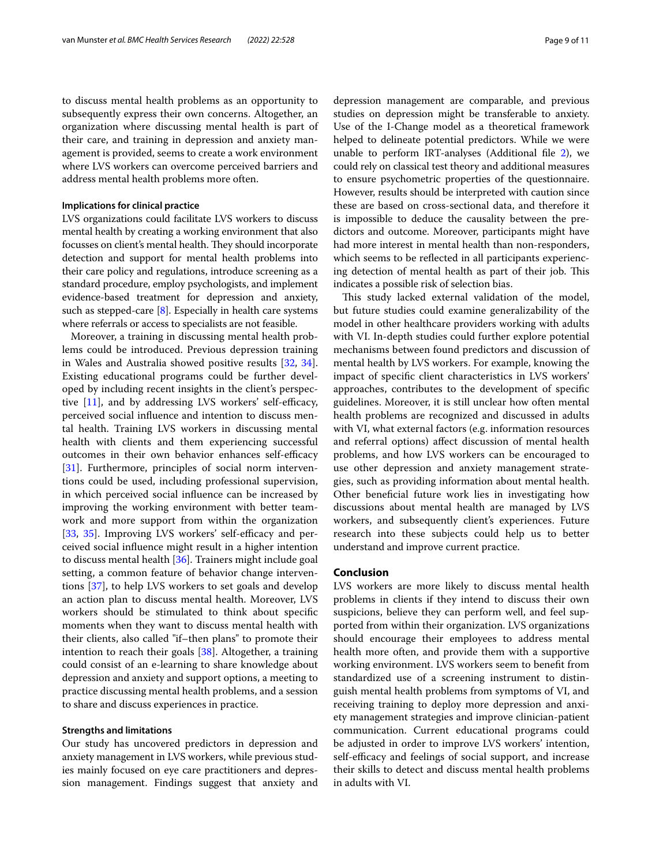to discuss mental health problems as an opportunity to subsequently express their own concerns. Altogether, an organization where discussing mental health is part of their care, and training in depression and anxiety management is provided, seems to create a work environment where LVS workers can overcome perceived barriers and address mental health problems more often.

#### **Implications for clinical practice**

LVS organizations could facilitate LVS workers to discuss mental health by creating a working environment that also focusses on client's mental health. They should incorporate detection and support for mental health problems into their care policy and regulations, introduce screening as a standard procedure, employ psychologists, and implement evidence-based treatment for depression and anxiety, such as stepped-care [\[8](#page-9-7)]. Especially in health care systems where referrals or access to specialists are not feasible.

Moreover, a training in discussing mental health problems could be introduced. Previous depression training in Wales and Australia showed positive results [[32,](#page-10-8) [34](#page-10-10)]. Existing educational programs could be further developed by including recent insights in the client's perspective  $[11]$  $[11]$ , and by addressing LVS workers' self-efficacy, perceived social infuence and intention to discuss mental health. Training LVS workers in discussing mental health with clients and them experiencing successful outcomes in their own behavior enhances self-efficacy [[31\]](#page-10-7). Furthermore, principles of social norm interventions could be used, including professional supervision, in which perceived social infuence can be increased by improving the working environment with better teamwork and more support from within the organization [[33,](#page-10-9) [35\]](#page-10-11). Improving LVS workers' self-efficacy and perceived social infuence might result in a higher intention to discuss mental health [[36](#page-10-12)]. Trainers might include goal setting, a common feature of behavior change interventions [\[37](#page-10-13)], to help LVS workers to set goals and develop an action plan to discuss mental health. Moreover, LVS workers should be stimulated to think about specifc moments when they want to discuss mental health with their clients, also called "if–then plans" to promote their intention to reach their goals [[38\]](#page-10-14). Altogether, a training could consist of an e-learning to share knowledge about depression and anxiety and support options, a meeting to practice discussing mental health problems, and a session to share and discuss experiences in practice.

### **Strengths and limitations**

Our study has uncovered predictors in depression and anxiety management in LVS workers, while previous studies mainly focused on eye care practitioners and depression management. Findings suggest that anxiety and depression management are comparable, and previous studies on depression might be transferable to anxiety. Use of the I-Change model as a theoretical framework helped to delineate potential predictors. While we were unable to perform IRT-analyses (Additional fle [2](#page-9-22)), we could rely on classical test theory and additional measures to ensure psychometric properties of the questionnaire. However, results should be interpreted with caution since these are based on cross-sectional data, and therefore it is impossible to deduce the causality between the predictors and outcome. Moreover, participants might have had more interest in mental health than non-responders, which seems to be reflected in all participants experiencing detection of mental health as part of their job. This indicates a possible risk of selection bias.

This study lacked external validation of the model, but future studies could examine generalizability of the model in other healthcare providers working with adults with VI. In-depth studies could further explore potential mechanisms between found predictors and discussion of mental health by LVS workers. For example, knowing the impact of specifc client characteristics in LVS workers' approaches, contributes to the development of specifc guidelines. Moreover, it is still unclear how often mental health problems are recognized and discussed in adults with VI, what external factors (e.g. information resources and referral options) afect discussion of mental health problems, and how LVS workers can be encouraged to use other depression and anxiety management strategies, such as providing information about mental health. Other benefcial future work lies in investigating how discussions about mental health are managed by LVS workers, and subsequently client's experiences. Future research into these subjects could help us to better understand and improve current practice.

# **Conclusion**

LVS workers are more likely to discuss mental health problems in clients if they intend to discuss their own suspicions, believe they can perform well, and feel supported from within their organization. LVS organizations should encourage their employees to address mental health more often, and provide them with a supportive working environment. LVS workers seem to beneft from standardized use of a screening instrument to distinguish mental health problems from symptoms of VI, and receiving training to deploy more depression and anxiety management strategies and improve clinician-patient communication. Current educational programs could be adjusted in order to improve LVS workers' intention, self-efficacy and feelings of social support, and increase their skills to detect and discuss mental health problems in adults with VI.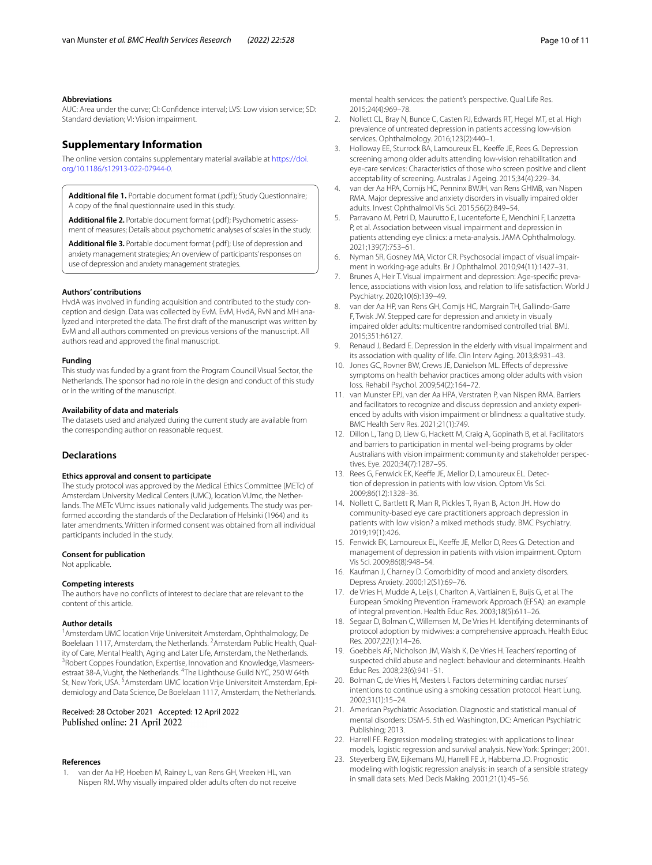#### **Abbreviations**

AUC: Area under the curve; CI: Confdence interval; LVS: Low vision service; SD: Standard deviation; VI: Vision impairment.

# **Supplementary Information**

The online version contains supplementary material available at [https://doi.](https://doi.org/10.1186/s12913-022-07944-0) [org/10.1186/s12913-022-07944-0](https://doi.org/10.1186/s12913-022-07944-0).

<span id="page-9-22"></span><span id="page-9-20"></span>Additional file 1. Portable document format (.pdf); Study Questionnaire; A copy of the fnal questionnaire used in this study.

<span id="page-9-25"></span>**Additional fle 2.** Portable document format (.pdf); Psychometric assessment of measures; Details about psychometric analyses of scales in the study.

**Additional fle 3.** Portable document format (.pdf); Use of depression and anxiety management strategies; An overview of participants' responses on use of depression and anxiety management strategies.

#### **Authors' contributions**

HvdA was involved in funding acquisition and contributed to the study conception and design. Data was collected by EvM. EvM, HvdA, RvN and MH analyzed and interpreted the data. The frst draft of the manuscript was written by EvM and all authors commented on previous versions of the manuscript. All authors read and approved the fnal manuscript.

#### **Funding**

This study was funded by a grant from the Program Council Visual Sector, the Netherlands. The sponsor had no role in the design and conduct of this study or in the writing of the manuscript.

#### **Availability of data and materials**

The datasets used and analyzed during the current study are available from the corresponding author on reasonable request.

#### **Declarations**

#### **Ethics approval and consent to participate**

The study protocol was approved by the Medical Ethics Committee (METc) of Amsterdam University Medical Centers (UMC), location VUmc, the Netherlands. The METc VUmc issues nationally valid judgements. The study was performed according the standards of the Declaration of Helsinki (1964) and its later amendments. Written informed consent was obtained from all individual participants included in the study.

#### **Consent for publication**

Not applicable.

#### **Competing interests**

The authors have no conficts of interest to declare that are relevant to the content of this article.

#### **Author details**

<sup>1</sup> Amsterdam UMC location Vrije Universiteit Amsterdam, Ophthalmology, De Boelelaan 1117, Amsterdam, the Netherlands. <sup>2</sup> Amsterdam Public Health, Quality of Care, Mental Health, Aging and Later Life, Amsterdam, the Netherlands. <sup>3</sup> Robert Coppes Foundation, Expertise, Innovation and Knowledge, Vlasmeersestraat 38-A, Vught, the Netherlands. <sup>4</sup>The Lighthouse Guild NYC, 250 W 64th St, New York, USA. <sup>5</sup> Amsterdam UMC location Vrije Universiteit Amsterdam, Epidemiology and Data Science, De Boelelaan 1117, Amsterdam, the Netherlands.

# Received: 28 October 2021 Accepted: 12 April 2022

#### **References**

<span id="page-9-0"></span>van der Aa HP, Hoeben M, Rainey L, van Rens GH, Vreeken HL, van Nispen RM. Why visually impaired older adults often do not receive mental health services: the patient's perspective. Qual Life Res. 2015;24(4):969–78.

- <span id="page-9-1"></span>2. Nollett CL, Bray N, Bunce C, Casten RJ, Edwards RT, Hegel MT, et al. High prevalence of untreated depression in patients accessing low-vision services. Ophthalmology. 2016;123(2):440–1.
- <span id="page-9-2"></span>3. Holloway EE, Sturrock BA, Lamoureux EL, Keeffe JE, Rees G. Depression screening among older adults attending low-vision rehabilitation and eye-care services: Characteristics of those who screen positive and client acceptability of screening. Australas J Ageing. 2015;34(4):229–34.
- <span id="page-9-3"></span>4. van der Aa HPA, Comijs HC, Penninx BWJH, van Rens GHMB, van Nispen RMA. Major depressive and anxiety disorders in visually impaired older adults. Invest Ophthalmol Vis Sci. 2015;56(2):849–54.
- <span id="page-9-4"></span>5. Parravano M, Petri D, Maurutto E, Lucenteforte E, Menchini F, Lanzetta P, et al. Association between visual impairment and depression in patients attending eye clinics: a meta-analysis. JAMA Ophthalmology. 2021;139(7):753–61.
- <span id="page-9-5"></span>6. Nyman SR, Gosney MA, Victor CR. Psychosocial impact of visual impairment in working-age adults. Br J Ophthalmol. 2010;94(11):1427–31.
- <span id="page-9-6"></span>7. Brunes A, Heir T. Visual impairment and depression: Age-specifc prevalence, associations with vision loss, and relation to life satisfaction. World J Psychiatry. 2020;10(6):139–49.
- <span id="page-9-7"></span>8. van der Aa HP, van Rens GH, Comijs HC, Margrain TH, Gallindo-Garre F, Twisk JW. Stepped care for depression and anxiety in visually impaired older adults: multicentre randomised controlled trial. BMJ. 2015;351:h6127.
- <span id="page-9-8"></span>Renaud J, Bedard E. Depression in the elderly with visual impairment and its association with quality of life. Clin Interv Aging. 2013;8:931–43.
- <span id="page-9-9"></span>10. Jones GC, Rovner BW, Crews JE, Danielson ML. Efects of depressive symptoms on health behavior practices among older adults with vision loss. Rehabil Psychol. 2009;54(2):164–72.
- <span id="page-9-10"></span>11. van Munster EPJ, van der Aa HPA, Verstraten P, van Nispen RMA. Barriers and facilitators to recognize and discuss depression and anxiety experienced by adults with vision impairment or blindness: a qualitative study. BMC Health Serv Res. 2021;21(1):749.
- <span id="page-9-11"></span>12. Dillon L, Tang D, Liew G, Hackett M, Craig A, Gopinath B, et al. Facilitators and barriers to participation in mental well-being programs by older Australians with vision impairment: community and stakeholder perspectives. Eye. 2020;34(7):1287–95.
- <span id="page-9-12"></span>13. Rees G, Fenwick EK, Keeffe JE, Mellor D, Lamoureux EL. Detection of depression in patients with low vision. Optom Vis Sci. 2009;86(12):1328–36.
- <span id="page-9-13"></span>14. Nollett C, Bartlett R, Man R, Pickles T, Ryan B, Acton JH. How do community-based eye care practitioners approach depression in patients with low vision? a mixed methods study. BMC Psychiatry. 2019;19(1):426.
- <span id="page-9-14"></span>15. Fenwick EK, Lamoureux EL, Keeffe JE, Mellor D, Rees G. Detection and management of depression in patients with vision impairment. Optom Vis Sci. 2009;86(8):948–54.
- <span id="page-9-15"></span>16. Kaufman J, Charney D. Comorbidity of mood and anxiety disorders. Depress Anxiety. 2000;12(S1):69–76.
- <span id="page-9-16"></span>17. de Vries H, Mudde A, Leijs I, Charlton A, Vartiainen E, Buijs G, et al. The European Smoking Prevention Framework Approach (EFSA): an example of integral prevention. Health Educ Res. 2003;18(5):611–26.
- <span id="page-9-17"></span>18. Segaar D, Bolman C, Willemsen M, De Vries H. Identifying determinants of protocol adoption by midwives: a comprehensive approach. Health Educ Res. 2007;22(1):14–26.
- <span id="page-9-19"></span>19. Goebbels AF, Nicholson JM, Walsh K, De Vries H. Teachers' reporting of suspected child abuse and neglect: behaviour and determinants. Health Educ Res. 2008;23(6):941–51.
- <span id="page-9-18"></span>20. Bolman C, de Vries H, Mesters I. Factors determining cardiac nurses' intentions to continue using a smoking cessation protocol. Heart Lung. 2002;31(1):15–24.
- <span id="page-9-21"></span>21. American Psychiatric Association. Diagnostic and statistical manual of mental disorders: DSM-5. 5th ed. Washington, DC: American Psychiatric Publishing; 2013.
- <span id="page-9-23"></span>22. Harrell FE. Regression modeling strategies: with applications to linear models, logistic regression and survival analysis. New York: Springer; 2001.
- <span id="page-9-24"></span>23. Steyerberg EW, Eijkemans MJ, Harrell FE Jr, Habbema JD. Prognostic modeling with logistic regression analysis: in search of a sensible strategy in small data sets. Med Decis Making. 2001;21(1):45–56.